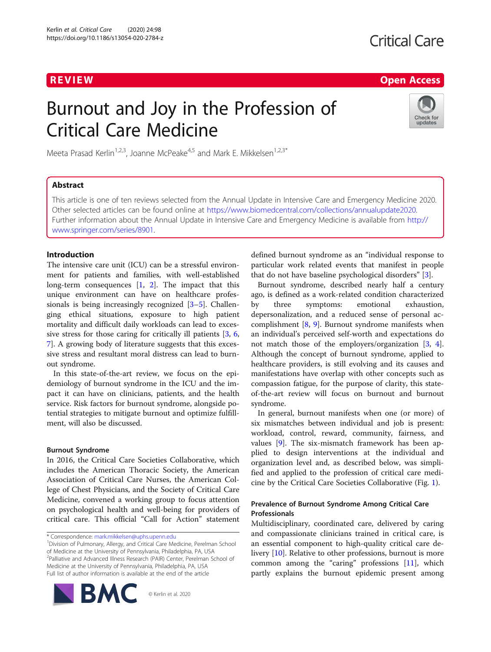# R EVI EW Open Access

# Burnout and Joy in the Profession of Critical Care Medicine



Meeta Prasad Kerlin<sup>1,2,3</sup>, Joanne McPeake<sup>4,5</sup> and Mark E. Mikkelsen<sup>1,2,3\*</sup>

# Abstract

This article is one of ten reviews selected from the Annual Update in Intensive Care and Emergency Medicine 2020. Other selected articles can be found online at [https://www.biomedcentral.com/collections/annualupdate2020.](https://www.biomedcentral.com/collections/annualupdate2020) Further information about the Annual Update in Intensive Care and Emergency Medicine is available from [http://](http://www.springer.com/series/8901) [www.springer.com/series/8901](http://www.springer.com/series/8901).

# Introduction

The intensive care unit (ICU) can be a stressful environment for patients and families, with well-established long-term consequences  $[1, 2]$  $[1, 2]$  $[1, 2]$  $[1, 2]$  $[1, 2]$ . The impact that this unique environment can have on healthcare professionals is being increasingly recognized [\[3](#page-4-0)–[5\]](#page-4-0). Challenging ethical situations, exposure to high patient mortality and difficult daily workloads can lead to excessive stress for those caring for critically ill patients  $[3, 6, 6]$  $[3, 6, 6]$  $[3, 6, 6]$  $[3, 6, 6]$ [7\]](#page-4-0). A growing body of literature suggests that this excessive stress and resultant moral distress can lead to burnout syndrome.

In this state-of-the-art review, we focus on the epidemiology of burnout syndrome in the ICU and the impact it can have on clinicians, patients, and the health service. Risk factors for burnout syndrome, alongside potential strategies to mitigate burnout and optimize fulfillment, will also be discussed.

# Burnout Syndrome

In 2016, the Critical Care Societies Collaborative, which includes the American Thoracic Society, the American Association of Critical Care Nurses, the American College of Chest Physicians, and the Society of Critical Care Medicine, convened a working group to focus attention on psychological health and well-being for providers of critical care. This official "Call for Action" statement

\* Correspondence: [mark.mikkelsen@uphs.upenn.edu](mailto:mark.mikkelsen@uphs.upenn.edu) <sup>1</sup>

<sup>1</sup> Division of Pulmonary, Allergy, and Critical Care Medicine, Perelman School of Medicine at the University of Pennsylvania, Philadelphia, PA, USA <sup>2</sup>Palliative and Advanced Illness Research (PAIR) Center, Perelman School of Medicine at the University of Pennsylvania, Philadelphia, PA, USA Full list of author information is available at the end of the article



© Kerlin et al. 2020

defined burnout syndrome as an "individual response to particular work related events that manifest in people that do not have baseline psychological disorders" [\[3](#page-4-0)].

Burnout syndrome, described nearly half a century ago, is defined as a work-related condition characterized by three symptoms: emotional exhaustion, depersonalization, and a reduced sense of personal accomplishment [[8,](#page-4-0) [9](#page-4-0)]. Burnout syndrome manifests when an individual's perceived self-worth and expectations do not match those of the employers/organization [\[3](#page-4-0), [4](#page-4-0)]. Although the concept of burnout syndrome, applied to healthcare providers, is still evolving and its causes and manifestations have overlap with other concepts such as compassion fatigue, for the purpose of clarity, this stateof-the-art review will focus on burnout and burnout syndrome.

In general, burnout manifests when one (or more) of six mismatches between individual and job is present: workload, control, reward, community, fairness, and values [[9\]](#page-4-0). The six-mismatch framework has been applied to design interventions at the individual and organization level and, as described below, was simplified and applied to the profession of critical care medicine by the Critical Care Societies Collaborative (Fig. [1\)](#page-1-0).

# Prevalence of Burnout Syndrome Among Critical Care Professionals

Multidisciplinary, coordinated care, delivered by caring and compassionate clinicians trained in critical care, is an essential component to high-quality critical care delivery [[10\]](#page-4-0). Relative to other professions, burnout is more common among the "caring" professions [[11\]](#page-4-0), which partly explains the burnout epidemic present among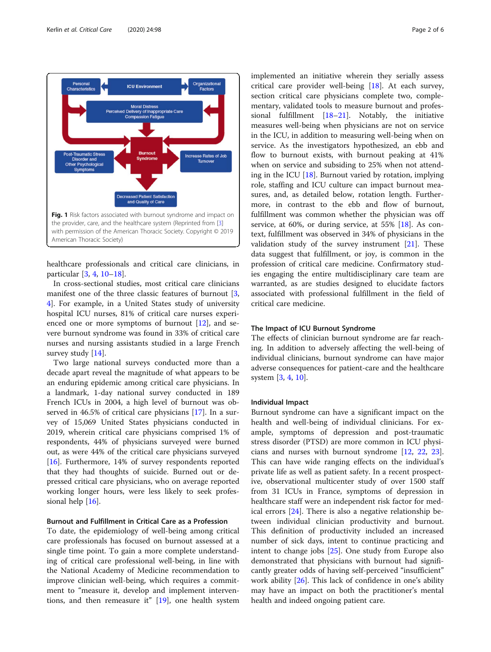<span id="page-1-0"></span>

healthcare professionals and critical care clinicians, in particular [\[3](#page-4-0), [4](#page-4-0), [10](#page-4-0)–[18\]](#page-4-0).

In cross-sectional studies, most critical care clinicians manifest one of the three classic features of burnout [\[3](#page-4-0), [4\]](#page-4-0). For example, in a United States study of university hospital ICU nurses, 81% of critical care nurses experienced one or more symptoms of burnout  $[12]$  $[12]$ , and severe burnout syndrome was found in 33% of critical care nurses and nursing assistants studied in a large French survey study [[14\]](#page-4-0).

Two large national surveys conducted more than a decade apart reveal the magnitude of what appears to be an enduring epidemic among critical care physicians. In a landmark, 1-day national survey conducted in 189 French ICUs in 2004, a high level of burnout was observed in 46.5% of critical care physicians [[17\]](#page-4-0). In a survey of 15,069 United States physicians conducted in 2019, wherein critical care physicians comprised 1% of respondents, 44% of physicians surveyed were burned out, as were 44% of the critical care physicians surveyed [[16\]](#page-4-0). Furthermore, 14% of survey respondents reported that they had thoughts of suicide. Burned out or depressed critical care physicians, who on average reported working longer hours, were less likely to seek profes-sional help [\[16\]](#page-4-0).

# Burnout and Fulfillment in Critical Care as a Profession

To date, the epidemiology of well-being among critical care professionals has focused on burnout assessed at a single time point. To gain a more complete understanding of critical care professional well-being, in line with the National Academy of Medicine recommendation to improve clinician well-being, which requires a commitment to "measure it, develop and implement interventions, and then remeasure it" [\[19](#page-4-0)], one health system implemented an initiative wherein they serially assess critical care provider well-being [\[18](#page-4-0)]. At each survey, section critical care physicians complete two, complementary, validated tools to measure burnout and professional fulfillment [[18](#page-4-0)–[21](#page-4-0)]. Notably, the initiative measures well-being when physicians are not on service in the ICU, in addition to measuring well-being when on service. As the investigators hypothesized, an ebb and flow to burnout exists, with burnout peaking at 41% when on service and subsiding to 25% when not attending in the ICU  $[18]$  $[18]$ . Burnout varied by rotation, implying role, staffing and ICU culture can impact burnout measures, and, as detailed below, rotation length. Furthermore, in contrast to the ebb and flow of burnout, fulfillment was common whether the physician was off service, at 60%, or during service, at 55% [\[18\]](#page-4-0). As context, fulfillment was observed in 34% of physicians in the validation study of the survey instrument [[21](#page-4-0)]. These data suggest that fulfillment, or joy, is common in the profession of critical care medicine. Confirmatory studies engaging the entire multidisciplinary care team are warranted, as are studies designed to elucidate factors associated with professional fulfillment in the field of critical care medicine.

# The Impact of ICU Burnout Syndrome

The effects of clinician burnout syndrome are far reaching. In addition to adversely affecting the well-being of individual clinicians, burnout syndrome can have major adverse consequences for patient-care and the healthcare system [[3](#page-4-0), [4](#page-4-0), [10](#page-4-0)].

### Individual Impact

Burnout syndrome can have a significant impact on the health and well-being of individual clinicians. For example, symptoms of depression and post-traumatic stress disorder (PTSD) are more common in ICU physicians and nurses with burnout syndrome [[12,](#page-4-0) [22](#page-4-0), [23](#page-4-0)]. This can have wide ranging effects on the individual's private life as well as patient safety. In a recent prospective, observational multicenter study of over 1500 staff from 31 ICUs in France, symptoms of depression in healthcare staff were an independent risk factor for medical errors [\[24\]](#page-4-0). There is also a negative relationship between individual clinician productivity and burnout. This definition of productivity included an increased number of sick days, intent to continue practicing and intent to change jobs [\[25](#page-4-0)]. One study from Europe also demonstrated that physicians with burnout had significantly greater odds of having self-perceived "insufficient" work ability  $[26]$  $[26]$ . This lack of confidence in one's ability may have an impact on both the practitioner's mental health and indeed ongoing patient care.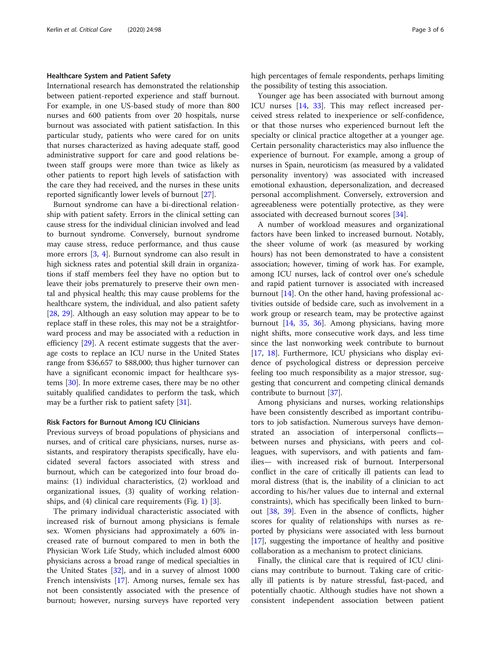# Healthcare System and Patient Safety

International research has demonstrated the relationship between patient-reported experience and staff burnout. For example, in one US-based study of more than 800 nurses and 600 patients from over 20 hospitals, nurse burnout was associated with patient satisfaction. In this particular study, patients who were cared for on units that nurses characterized as having adequate staff, good administrative support for care and good relations between staff groups were more than twice as likely as other patients to report high levels of satisfaction with the care they had received, and the nurses in these units reported significantly lower levels of burnout [\[27\]](#page-4-0).

Burnout syndrome can have a bi-directional relationship with patient safety. Errors in the clinical setting can cause stress for the individual clinician involved and lead to burnout syndrome. Conversely, burnout syndrome may cause stress, reduce performance, and thus cause more errors [[3,](#page-4-0) [4](#page-4-0)]. Burnout syndrome can also result in high sickness rates and potential skill drain in organizations if staff members feel they have no option but to leave their jobs prematurely to preserve their own mental and physical health; this may cause problems for the healthcare system, the individual, and also patient safety [[28,](#page-4-0) [29](#page-4-0)]. Although an easy solution may appear to be to replace staff in these roles, this may not be a straightforward process and may be associated with a reduction in efficiency [[29](#page-4-0)]. A recent estimate suggests that the average costs to replace an ICU nurse in the United States range from \$36,657 to \$88,000; thus higher turnover can have a significant economic impact for healthcare systems [\[30](#page-4-0)]. In more extreme cases, there may be no other suitably qualified candidates to perform the task, which may be a further risk to patient safety [\[31](#page-4-0)].

### Risk Factors for Burnout Among ICU Clinicians

Previous surveys of broad populations of physicians and nurses, and of critical care physicians, nurses, nurse assistants, and respiratory therapists specifically, have elucidated several factors associated with stress and burnout, which can be categorized into four broad domains: (1) individual characteristics, (2) workload and organizational issues, (3) quality of working relationships, and  $(4)$  clinical care requirements (Fig. [1\)](#page-1-0) [\[3](#page-4-0)].

The primary individual characteristic associated with increased risk of burnout among physicians is female sex. Women physicians had approximately a 60% increased rate of burnout compared to men in both the Physician Work Life Study, which included almost 6000 physicians across a broad range of medical specialties in the United States [\[32](#page-4-0)], and in a survey of almost 1000 French intensivists [[17\]](#page-4-0). Among nurses, female sex has not been consistently associated with the presence of burnout; however, nursing surveys have reported very high percentages of female respondents, perhaps limiting the possibility of testing this association.

Younger age has been associated with burnout among ICU nurses [\[14](#page-4-0), [33\]](#page-4-0). This may reflect increased perceived stress related to inexperience or self-confidence, or that those nurses who experienced burnout left the specialty or clinical practice altogether at a younger age. Certain personality characteristics may also influence the experience of burnout. For example, among a group of nurses in Spain, neuroticism (as measured by a validated personality inventory) was associated with increased emotional exhaustion, depersonalization, and decreased personal accomplishment. Conversely, extroversion and agreeableness were potentially protective, as they were associated with decreased burnout scores [[34\]](#page-4-0).

A number of workload measures and organizational factors have been linked to increased burnout. Notably, the sheer volume of work (as measured by working hours) has not been demonstrated to have a consistent association; however, timing of work has. For example, among ICU nurses, lack of control over one's schedule and rapid patient turnover is associated with increased burnout [\[14\]](#page-4-0). On the other hand, having professional activities outside of bedside care, such as involvement in a work group or research team, may be protective against burnout [\[14,](#page-4-0) [35](#page-4-0), [36](#page-5-0)]. Among physicians, having more night shifts, more consecutive work days, and less time since the last nonworking week contribute to burnout [[17,](#page-4-0) [18\]](#page-4-0). Furthermore, ICU physicians who display evidence of psychological distress or depression perceive feeling too much responsibility as a major stressor, suggesting that concurrent and competing clinical demands contribute to burnout [\[37](#page-5-0)].

Among physicians and nurses, working relationships have been consistently described as important contributors to job satisfaction. Numerous surveys have demonstrated an association of interpersonal conflicts between nurses and physicians, with peers and colleagues, with supervisors, and with patients and families— with increased risk of burnout. Interpersonal conflict in the care of critically ill patients can lead to moral distress (that is, the inability of a clinician to act according to his/her values due to internal and external constraints), which has specifically been linked to burnout [[38,](#page-5-0) [39\]](#page-5-0). Even in the absence of conflicts, higher scores for quality of relationships with nurses as reported by physicians were associated with less burnout [[17\]](#page-4-0), suggesting the importance of healthy and positive collaboration as a mechanism to protect clinicians.

Finally, the clinical care that is required of ICU clinicians may contribute to burnout. Taking care of critically ill patients is by nature stressful, fast-paced, and potentially chaotic. Although studies have not shown a consistent independent association between patient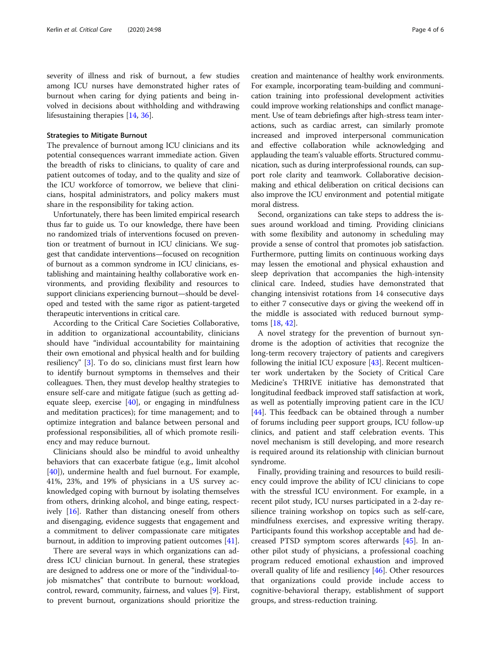severity of illness and risk of burnout, a few studies among ICU nurses have demonstrated higher rates of burnout when caring for dying patients and being involved in decisions about withholding and withdrawing lifesustaining therapies [\[14,](#page-4-0) [36\]](#page-5-0).

# Strategies to Mitigate Burnout

The prevalence of burnout among ICU clinicians and its potential consequences warrant immediate action. Given the breadth of risks to clinicians, to quality of care and patient outcomes of today, and to the quality and size of the ICU workforce of tomorrow, we believe that clinicians, hospital administrators, and policy makers must share in the responsibility for taking action.

Unfortunately, there has been limited empirical research thus far to guide us. To our knowledge, there have been no randomized trials of interventions focused on prevention or treatment of burnout in ICU clinicians. We suggest that candidate interventions—focused on recognition of burnout as a common syndrome in ICU clinicians, establishing and maintaining healthy collaborative work environments, and providing flexibility and resources to support clinicians experiencing burnout—should be developed and tested with the same rigor as patient-targeted therapeutic interventions in critical care.

According to the Critical Care Societies Collaborative, in addition to organizational accountability, clinicians should have "individual accountability for maintaining their own emotional and physical health and for building resiliency" [\[3](#page-4-0)]. To do so, clinicians must first learn how to identify burnout symptoms in themselves and their colleagues. Then, they must develop healthy strategies to ensure self-care and mitigate fatigue (such as getting adequate sleep, exercise [\[40\]](#page-5-0), or engaging in mindfulness and meditation practices); for time management; and to optimize integration and balance between personal and professional responsibilities, all of which promote resiliency and may reduce burnout.

Clinicians should also be mindful to avoid unhealthy behaviors that can exacerbate fatigue (e.g., limit alcohol [[40\]](#page-5-0)), undermine health and fuel burnout. For example, 41%, 23%, and 19% of physicians in a US survey acknowledged coping with burnout by isolating themselves from others, drinking alcohol, and binge eating, respectively [\[16](#page-4-0)]. Rather than distancing oneself from others and disengaging, evidence suggests that engagement and a commitment to deliver compassionate care mitigates burnout, in addition to improving patient outcomes [\[41](#page-5-0)].

There are several ways in which organizations can address ICU clinician burnout. In general, these strategies are designed to address one or more of the "individual-tojob mismatches" that contribute to burnout: workload, control, reward, community, fairness, and values [[9](#page-4-0)]. First, to prevent burnout, organizations should prioritize the

creation and maintenance of healthy work environments. For example, incorporating team-building and communication training into professional development activities could improve working relationships and conflict management. Use of team debriefings after high-stress team interactions, such as cardiac arrest, can similarly promote increased and improved interpersonal communication and effective collaboration while acknowledging and applauding the team's valuable efforts. Structured communication, such as during interprofessional rounds, can support role clarity and teamwork. Collaborative decisionmaking and ethical deliberation on critical decisions can also improve the ICU environment and potential mitigate moral distress.

Second, organizations can take steps to address the issues around workload and timing. Providing clinicians with some flexibility and autonomy in scheduling may provide a sense of control that promotes job satisfaction. Furthermore, putting limits on continuous working days may lessen the emotional and physical exhaustion and sleep deprivation that accompanies the high-intensity clinical care. Indeed, studies have demonstrated that changing intensivist rotations from 14 consecutive days to either 7 consecutive days or giving the weekend off in the middle is associated with reduced burnout symptoms [\[18,](#page-4-0) [42\]](#page-5-0).

A novel strategy for the prevention of burnout syndrome is the adoption of activities that recognize the long-term recovery trajectory of patients and caregivers following the initial ICU exposure  $[43]$  $[43]$ . Recent multicenter work undertaken by the Society of Critical Care Medicine's THRIVE initiative has demonstrated that longitudinal feedback improved staff satisfaction at work, as well as potentially improving patient care in the ICU [[44\]](#page-5-0). This feedback can be obtained through a number of forums including peer support groups, ICU follow-up clinics, and patient and staff celebration events. This novel mechanism is still developing, and more research is required around its relationship with clinician burnout syndrome.

Finally, providing training and resources to build resiliency could improve the ability of ICU clinicians to cope with the stressful ICU environment. For example, in a recent pilot study, ICU nurses participated in a 2-day resilience training workshop on topics such as self-care, mindfulness exercises, and expressive writing therapy. Participants found this workshop acceptable and had decreased PTSD symptom scores afterwards [[45\]](#page-5-0). In another pilot study of physicians, a professional coaching program reduced emotional exhaustion and improved overall quality of life and resiliency [[46](#page-5-0)]. Other resources that organizations could provide include access to cognitive-behavioral therapy, establishment of support groups, and stress-reduction training.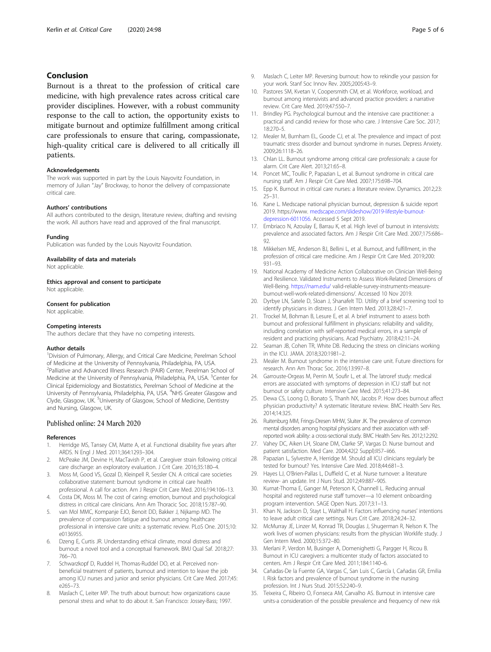# <span id="page-4-0"></span>Conclusion

Burnout is a threat to the profession of critical care medicine, with high prevalence rates across critical care provider disciplines. However, with a robust community response to the call to action, the opportunity exists to mitigate burnout and optimize fulfillment among critical care professionals to ensure that caring, compassionate, high-quality critical care is delivered to all critically ill patients.

#### Acknowledgements

The work was supported in part by the Louis Nayovitz Foundation, in memory of Julian "Jay" Brockway, to honor the delivery of compassionate critical care.

#### Authors' contributions

All authors contributed to the design, literature review, drafting and revising the work. All authors have read and approved of the final manuscript.

#### Funding

Publication was funded by the Louis Nayovitz Foundation.

#### Availability of data and materials

Not applicable.

Ethics approval and consent to participate Not applicable.

#### Consent for publication

Not applicable.

#### Competing interests

The authors declare that they have no competing interests.

#### Author details

<sup>1</sup> Division of Pulmonary, Allergy, and Critical Care Medicine, Perelman School of Medicine at the University of Pennsylvania, Philadelphia, PA, USA. <sup>2</sup>Palliative and Advanced Illness Research (PAIR) Center, Perelman School of Medicine at the University of Pennsylvania, Philadelphia, PA, USA. <sup>3</sup>Center for Clinical Epidemiology and Biostatistics, Perelman School of Medicine at the University of Pennsylvania, Philadelphia, PA, USA. <sup>4</sup>NHS Greater Glasgow and Clyde, Glasgow, UK. <sup>5</sup>University of Glasgow, School of Medicine, Dentistry and Nursing, Glasgow, UK.

# Published online: 24 March 2020

#### References

- 1. Herridge MS, Tansey CM, Matte A, et al. Functional disability five years after ARDS. N Engl J Med. 2011;364:1293–304.
- 2. McPeake JM, Devine H, MacTavish P, et al. Caregiver strain following critical care discharge: an exploratory evaluation. J Crit Care. 2016;35:180–4.
- 3. Moss M, Good VS, Gozal D, Kleinpell R, Sessler CN. A critical care societies collaborative statement: burnout syndrome in critical care health
- professional. A call for action. Am J Respir Crit Care Med. 2016;194:106–13. 4. Costa DK, Moss M. The cost of caring: emotion, burnout and psychological distress in critical care clinicians. Ann Am Thoracic Soc. 2018;15:787–90.
- 5. van Mol MMC, Kompanje EJO, Benoit DD, Bakker J, Nijkamp MD. The prevalence of compassion fatigue and burnout among healthcare professional in intensive care units: a systematic review. PLoS One. 2015;10: e0136955.
- 6. Dzeng E, Curtis JR. Understanding ethical climate, moral distress and burnout: a novel tool and a conceptual framework. BMJ Qual Saf. 2018;27: 766–70.
- 7. Schwarzkopf D, Ruddel H, Thomas-Ruddel DO, et al. Perceived nonbeneficial treatment of patients, burnout and intention to leave the job among ICU nurses and junior and senior physicians. Crit Care Med. 2017;45: e265–73.
- Maslach C, Leiter MP. The truth about burnout: how organizations cause personal stress and what to do about it. San Francisco: Jossey-Bass; 1997.
- 9. Maslach C, Leiter MP. Reversing burnout: how to rekindle your passion for your work. Stanf Soc Innov Rev. 2005;2005:43–9.
- 10. Pastores SM, Kvetan V, Coopersmith CM, et al. Workforce, workload, and burnout among intensivists and advanced practice providers: a narrative review. Crit Care Med. 2019;47:550–7.
- 11. Brindley PG. Psychological burnout and the intensive care practitioner: a practical and candid review for those who care. J Intensive Care Soc. 2017; 18:270–5.
- 12. Mealer M, Burnham EL, Goode CJ, et al. The prevalence and impact of post traumatic stress disorder and burnout syndrome in nurses. Depress Anxiety. 2009;26:1118–26.
- 13. Chlan LL. Burnout syndrome among critical care professionals: a cause for alarm. Crit Care Alert. 2013;21:65–8.
- 14. Poncet MC, Toullic P, Papazian L, et al. Burnout syndrome in critical care nursing staff. Am J Respir Crit Care Med. 2007;175:698–704.
- 15. Epp K. Burnout in critical care nurses: a literature review. Dynamics. 2012;23: 25–31.
- 16. Kane L. Medscape national physician burnout, depression & suicide report 2019. https://www. [medscape.com/slideshow/2019-lifestyle-burnout](http://medscape.com/slideshow/2019-lifestyle-burnout-depression-6011056)[depression-6011056.](http://medscape.com/slideshow/2019-lifestyle-burnout-depression-6011056) Accessed 5 Sept 2019.
- 17. Embriaco N, Azoulay E, Barrau K, et al. High level of burnout in intensivists: prevalence and associated factors. Am J Respir Crit Care Med. 2007;175:686– 92
- 18. Mikkelsen ME, Anderson BJ, Bellini L, et al. Burnout, and fulfillment, in the profession of critical care medicine. Am J Respir Crit Care Med. 2019;200: 931–93.
- 19. National Academy of Medicine Action Collaborative on Clinician Well-Being and Resilience. Validated Instruments to Assess Work-Related Dimensions of Well-Being. <https://nam.edu/> valid-reliable-survey-instruments-measureburnout-well-work-related-dimensions/. Accessed 10 Nov 2019.
- 20. Dyrbye LN, Satele D, Sloan J, Shanafelt TD. Utility of a brief screening tool to identify physicians in distress. J Gen Intern Med. 2013;28:421–7.
- 21. Trockel M, Bohman B, Lesure E, et al. A brief instrument to assess both burnout and professional fulfillment in physicians: reliability and validity, including correlation with self-reported medical errors, in a sample of resident and practicing physicians. Acad Psychiatry. 2018;42:11–24.
- 22. Seaman JB, Cohen TR, White DB. Reducing the stress on clinicians working in the ICU. JAMA. 2018;320:1981–2.
- 23. Mealer M. Burnout syndrome in the intensive care unit. Future directions for research. Ann Am Thorac Soc. 2016;13:997–8.
- 24. Garrouste-Orgeas M, Perrin M, Soufir L, et al. The latroref study: medical errors are associated with symptoms of depression in ICU staff but not burnout or safety culture. Intensive Care Med. 2015;41:273–84.
- 25. Dewa CS, Loong D, Bonato S, Thanh NX, Jacobs P. How does burnout affect physician productivity? A systematic literature review. BMC Health Serv Res. 2014;14:325.
- 26. Ruitenburg MM, Frings-Dresen MHW, Sluiter JK. The prevalence of common mental disorders among hospital physicians and their association with selfreported work ability: a cross-sectional study. BMC Health Serv Res. 2012;12:292.
- 27. Vahey DC, Aiken LH, Sloane DM, Clarke SP, Vargas D. Nurse burnout and patient satisfaction. Med Care. 2004;42(2 Suppl):ll57-ii66.
- 28. Papazian L, Sylvestre A, Herridge M. Should all ICU clinicians regularly be tested for burnout? Yes. Intensive Care Med. 2018;44:681–3.
- 29. Hayes LJ, O'Brien-Pallas L, Duffield C, et al. Nurse turnover: a literature review- an update. Int J Nurs Stud. 2012;49:887–905.
- 30. Kurnat-Thoma E, Ganger M, Peterson K, Channell L. Reducing annual hospital and registered nurse staff turnover—a 10 element onboarding program intervention. SAGE Open Nurs. 2017;3:1–13.
- 31. Khan N, Jackson D, Stayt L, Walthall H. Factors influencing nurses' intentions to leave adult critical care settings. Nurs Crit Care. 2018;24:24–32.
- 32. McMurray JE, Linzer M, Konrad TR, Douglas J, Shugerman R, Nelson K. The work lives of women physicians: results from the physician Worklife study. J Gen Intern Med. 2000;15:372–80.
- 33. Merlani P, Verdon M, Businger A, Domenighetti G, Pargger H, Ricou B. Burnout in ICU caregivers: a multicenter study of factors associated to centers. Am J Respir Crit Care Med. 2011;184:1140–6.
- 34. Cañadas-De la Fuente GA, Vargas C, San Luis C, García I, Cañadas GR, Emilia I. Risk factors and prevalence of burnout syndrome in the nursing profession. Int J Nurs Stud. 2015;52:240–9.
- 35. Teixeira C, Ribeiro O, Fonseca AM, Carvalho AS. Burnout in intensive care units-a consideration of the possible prevalence and frequency of new risk